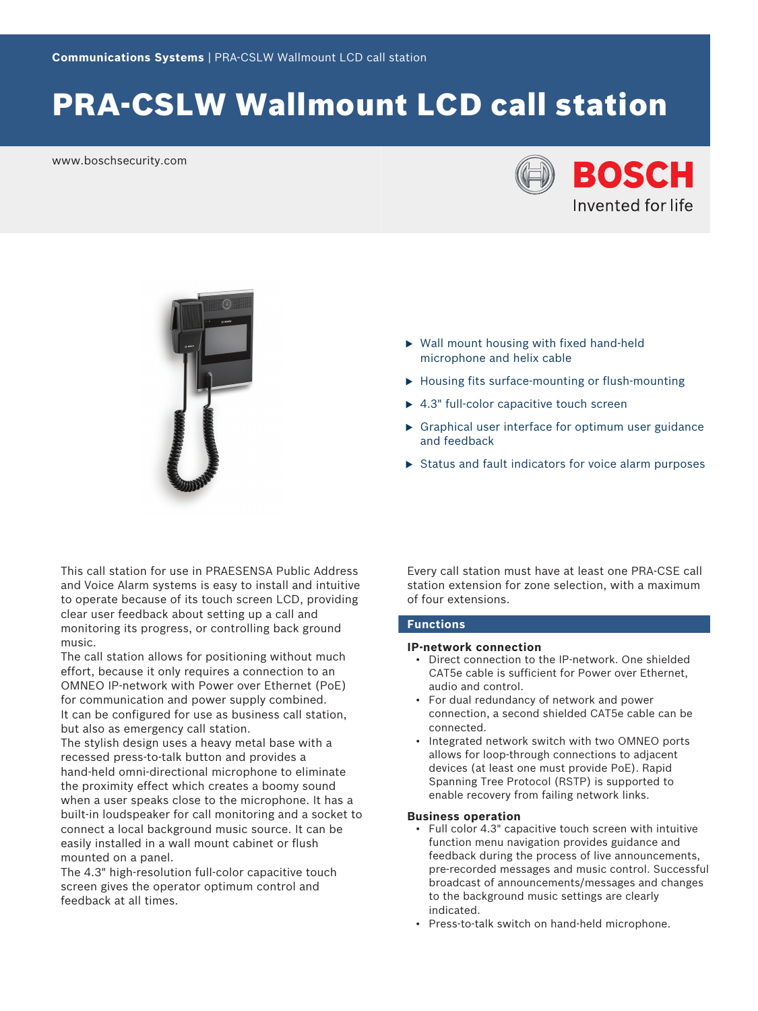# PRA-CSLW Wallmount LCD call station

www.boschsecurity.com





- $\triangleright$  Wall mount housing with fixed hand-held microphone and helix cable
- $\blacktriangleright$  Housing fits surface-mounting or flush-mounting
- $\blacktriangleright$  4.3" full-color capacitive touch screen
- $\triangleright$  Graphical user interface for optimum user guidance and feedback
- $\triangleright$  Status and fault indicators for voice alarm purposes

This call station for use in PRAESENSA Public Address and Voice Alarm systems is easy to install and intuitive to operate because of its touch screen LCD, providing clear user feedback about setting up a call and monitoring its progress, or controlling back ground music.

The call station allows for positioning without much effort, because it only requires a connection to an OMNEO IP‑network with Power over Ethernet (PoE) for communication and power supply combined. It can be configured for use as business call station, but also as emergency call station.

The stylish design uses a heavy metal base with a recessed press-to-talk button and provides a hand-held omni-directional microphone to eliminate the proximity effect which creates a boomy sound when a user speaks close to the microphone. It has a built‑in loudspeaker for call monitoring and a socket to connect a local background music source. It can be easily installed in a wall mount cabinet or flush mounted on a panel.

The 4.3" high-resolution full-color capacitive touch screen gives the operator optimum control and feedback at all times.

Every call station must have at least one PRA-CSE call station extension for zone selection, with a maximum of four extensions.

#### **Functions**

#### **IP‑network connection**

- Direct connection to the IP‑network. One shielded CAT5e cable is sufficient for Power over Ethernet, audio and control.
- For dual redundancy of network and power connection, a second shielded CAT5e cable can be connected.
- Integrated network switch with two OMNEO ports allows for loop-through connections to adjacent devices (at least one must provide PoE). Rapid Spanning Tree Protocol (RSTP) is supported to enable recovery from failing network links.

#### **Business operation**

- Full color 4.3" capacitive touch screen with intuitive function menu navigation provides guidance and feedback during the process of live announcements, pre‑recorded messages and music control. Successful broadcast of announcements/messages and changes to the background music settings are clearly indicated.
- Press-to-talk switch on hand-held microphone.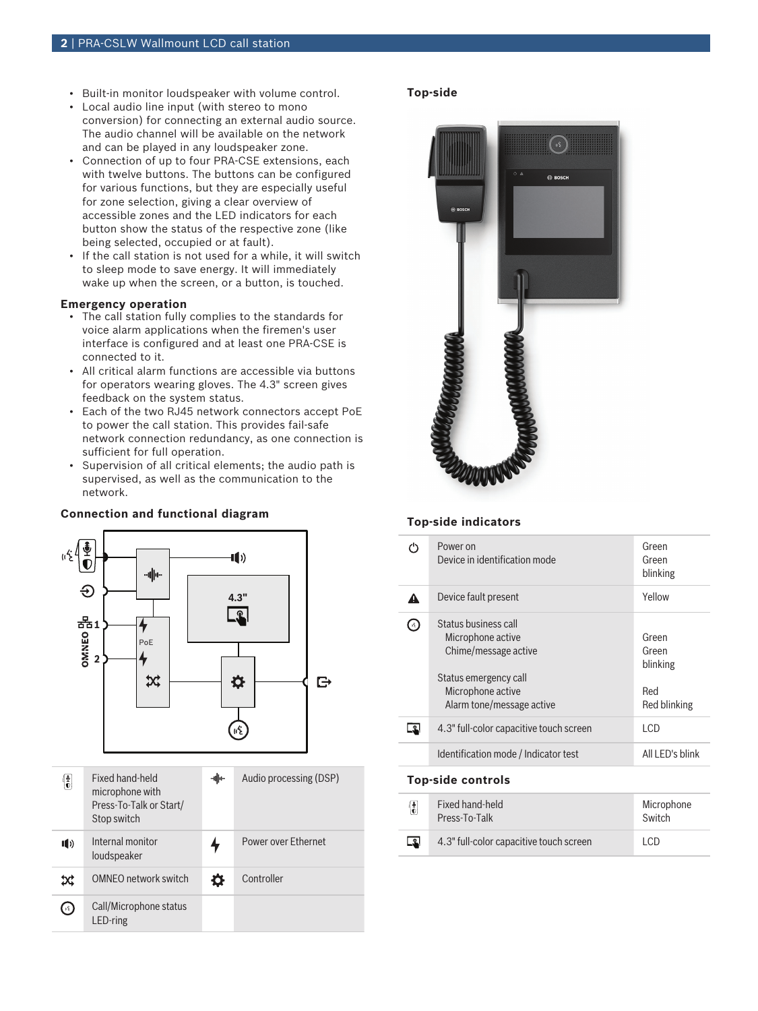- Built-in monitor loudspeaker with volume control.
- Local audio line input (with stereo to mono conversion) for connecting an external audio source. The audio channel will be available on the network and can be played in any loudspeaker zone.
- Connection of up to four PRA-CSE extensions, each with twelve buttons. The buttons can be configured for various functions, but they are especially useful for zone selection, giving a clear overview of accessible zones and the LED indicators for each button show the status of the respective zone (like being selected, occupied or at fault).
- If the call station is not used for a while, it will switch to sleep mode to save energy. It will immediately wake up when the screen, or a button, is touched.

#### **Emergency operation**

- The call station fully complies to the standards for voice alarm applications when the firemen's user interface is configured and at least one PRA-CSE is connected to it.
- All critical alarm functions are accessible via buttons for operators wearing gloves. The 4.3" screen gives feedback on the system status.
- Each of the two RJ45 network connectors accept PoE to power the call station. This provides fail-safe network connection redundancy, as one connection is sufficient for full operation.
- Supervision of all critical elements; the audio path is supervised, as well as the communication to the network.

#### **Connection and functional diagram**



#### **Top‑side**



#### **Top‑side indicators**

|                | Power on<br>Device in identification mode                                                                                                    | Green<br>Green<br>blinking                        |
|----------------|----------------------------------------------------------------------------------------------------------------------------------------------|---------------------------------------------------|
|                | Device fault present                                                                                                                         | Yellow                                            |
| $\mathbb{R}^n$ | Status business call<br>Microphone active<br>Chime/message active<br>Status emergency call<br>Microphone active<br>Alarm tone/message active | Green<br>Green<br>blinking<br>Red<br>Red blinking |
|                | 4.3" full-color capacitive touch screen                                                                                                      | I CD                                              |
|                | Identification mode / Indicator test                                                                                                         | All I FD's blink                                  |

#### **Top‑side controls**

| $\begin{pmatrix} \frac{1}{2} \\ 0 \end{pmatrix}$ | Fixed hand-held<br>Press-To-Talk        | Microphone<br>Switch |
|--------------------------------------------------|-----------------------------------------|----------------------|
| $\mathbb{R}$                                     | 4.3" full-color capacitive touch screen | I CD                 |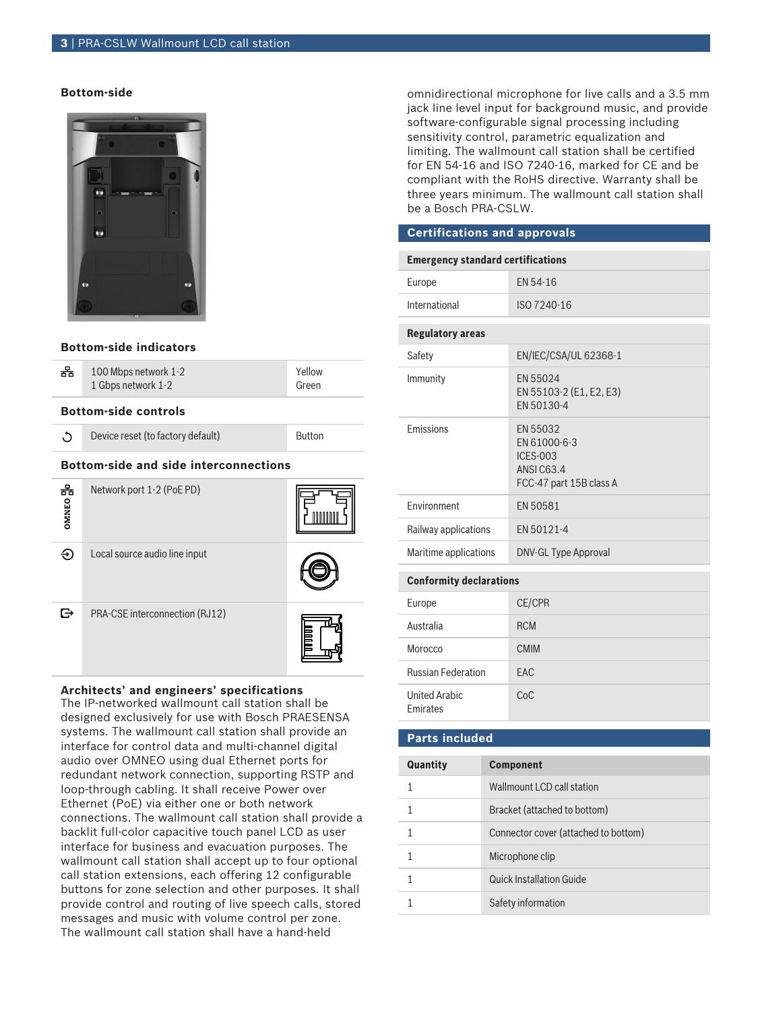#### **3** | PRA-CSLW Wallmount LCD call station

#### **Bottom‑side**



#### **Bottom‑side indicators**

| 和                                            | 100 Mbps network 1-2<br>1 Gbps network 1-2 | Yellow<br>Green |
|----------------------------------------------|--------------------------------------------|-----------------|
| <b>Bottom-side controls</b>                  |                                            |                 |
| r,                                           | Device reset (to factory default)          | <b>Button</b>   |
| <b>Bottom-side and side interconnections</b> |                                            |                 |
| 폶<br>OMNEO                                   | Network port 1-2 (PoE PD)                  |                 |
| €                                            | Local source audio line input              |                 |
|                                              | PRA-CSE interconnection (RJ12)             |                 |

#### **Architects' and engineers' specifications**

The IP‑networked wallmount call station shall be designed exclusively for use with Bosch PRAESENSA systems. The wallmount call station shall provide an interface for control data and multi-channel digital audio over OMNEO using dual Ethernet ports for redundant network connection, supporting RSTP and loop-through cabling. It shall receive Power over Ethernet (PoE) via either one or both network connections. The wallmount call station shall provide a backlit full-color capacitive touch panel LCD as user interface for business and evacuation purposes. The wallmount call station shall accept up to four optional call station extensions, each offering 12 configurable buttons for zone selection and other purposes. It shall provide control and routing of live speech calls, stored messages and music with volume control per zone. The wallmount call station shall have a hand-held

omnidirectional microphone for live calls and a 3.5 mm jack line level input for background music, and provide software-configurable signal processing including sensitivity control, parametric equalization and limiting. The wallmount call station shall be certified for EN 54‑16 and ISO 7240‑16, marked for CE and be compliant with the RoHS directive. Warranty shall be three years minimum. The wallmount call station shall be a Bosch PRA-CSLW.

#### **Certifications and approvals**

| <b>Emergency standard certifications</b> |                                                                                            |  |
|------------------------------------------|--------------------------------------------------------------------------------------------|--|
| Europe                                   | EN 54-16                                                                                   |  |
| International                            | ISO 7240-16                                                                                |  |
| <b>Regulatory areas</b>                  |                                                                                            |  |
| Safety                                   | EN/IEC/CSA/UL 62368-1                                                                      |  |
| Immunity                                 | EN 55024<br>EN 55103-2 (E1, E2, E3)<br>EN 50130-4                                          |  |
| <b>Fmissions</b>                         | EN 55032<br>EN 61000-6-3<br><b>ICES-003</b><br><b>ANSIC63.4</b><br>FCC-47 part 15B class A |  |
| Environment                              | EN 50581                                                                                   |  |
| Railway applications                     | FN 50121-4                                                                                 |  |
| Maritime applications                    | <b>DNV-GL Type Approval</b>                                                                |  |
| <b>Conformity declarations</b>           |                                                                                            |  |
| Europe                                   | <b>CE/CPR</b>                                                                              |  |
| Australia                                | <b>RCM</b>                                                                                 |  |
| Morocco                                  | <b>CMIM</b>                                                                                |  |
| <b>Russian Federation</b>                | FAC                                                                                        |  |
| <b>United Arabic</b><br>Emirates         | CoC                                                                                        |  |
| <b>Parts included</b>                    |                                                                                            |  |

## **Quantity Component** 1 Wallmount LCD call station 1 Bracket (attached to bottom) 1 Connector cover (attached to bottom) 1 Microphone clip 1 Quick Installation Guide 1 Safety information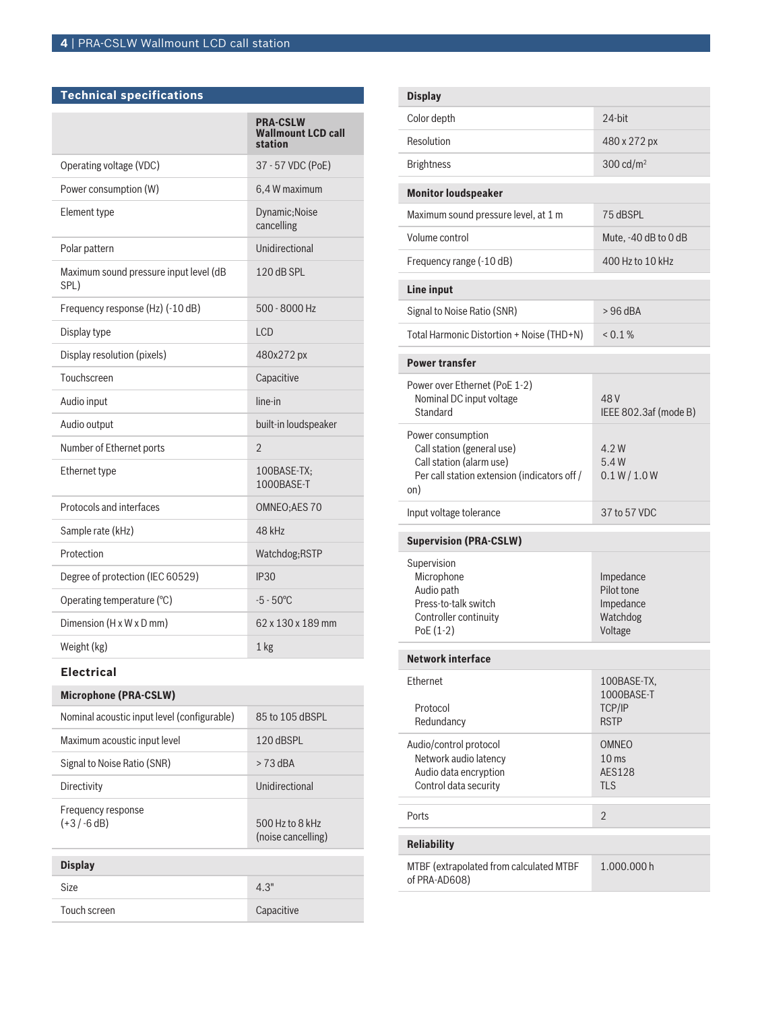| Technical specifications                       |                                                         |
|------------------------------------------------|---------------------------------------------------------|
|                                                | <b>PRA-CSLW</b><br><b>Wallmount LCD call</b><br>station |
| Operating voltage (VDC)                        | 37 - 57 VDC (PoE)                                       |
| Power consumption (W)                          | 6,4 W maximum                                           |
| Element type                                   | Dynamic; Noise<br>cancelling                            |
| Polar pattern                                  | Unidirectional                                          |
| Maximum sound pressure input level (dB<br>SPL) | 120 dB SPL                                              |
| Frequency response (Hz) (-10 dB)               | $500 - 8000$ Hz                                         |
| Display type                                   | <b>LCD</b>                                              |
| Display resolution (pixels)                    | 480x272 px                                              |
| Touchscreen                                    | Capacitive                                              |
| Audio input                                    | line-in                                                 |
| Audio output                                   | built-in loudspeaker                                    |
| Number of Ethernet ports                       | $\overline{2}$                                          |
| Ethernet type                                  | 100BASE-TX:<br>1000BASE-T                               |
| Protocols and interfaces                       | OMNEO;AES 70                                            |
| Sample rate (kHz)                              | 48 kHz                                                  |
| Protection                                     | Watchdog;RSTP                                           |
| Degree of protection (IEC 60529)               | <b>IP30</b>                                             |
| Operating temperature (°C)                     | $-5 - 50^{\circ}$ C                                     |
| Dimension (H x W x D mm)                       | 62 x 130 x 189 mm                                       |
| Weight (kg)                                    | 1 <sub>kg</sub>                                         |

#### **Electrical**

| <b>Microphone (PRA-CSLW)</b>                |                                       |  |
|---------------------------------------------|---------------------------------------|--|
| Nominal acoustic input level (configurable) | 85 to 105 dBSPL                       |  |
| Maximum acoustic input level                | 120 dBSPL                             |  |
| Signal to Noise Ratio (SNR)                 | $> 73$ dBA                            |  |
| Directivity                                 | Unidirectional                        |  |
| Frequency response<br>$(+3/-6dB)$           | 500 Hz to 8 kHz<br>(noise cancelling) |  |
| <b>Display</b>                              |                                       |  |
| <b>Size</b>                                 | 4.3"                                  |  |
| Touch screen                                | Capacitive                            |  |

| <b>Display</b>                                                                                                                     |                                                                 |  |
|------------------------------------------------------------------------------------------------------------------------------------|-----------------------------------------------------------------|--|
| Color depth                                                                                                                        | 24-bit                                                          |  |
| Resolution                                                                                                                         | 480 x 272 px                                                    |  |
| <b>Brightness</b>                                                                                                                  | 300 $cd/m2$                                                     |  |
| <b>Monitor loudspeaker</b>                                                                                                         |                                                                 |  |
| Maximum sound pressure level, at 1 m                                                                                               | 75 dBSPL                                                        |  |
| Volume control                                                                                                                     | Mute, -40 dB to 0 dB                                            |  |
| Frequency range (-10 dB)                                                                                                           | 400 Hz to 10 kHz                                                |  |
| <b>Line input</b>                                                                                                                  |                                                                 |  |
| Signal to Noise Ratio (SNR)                                                                                                        | $>96$ dBA                                                       |  |
| Total Harmonic Distortion + Noise (THD+N)                                                                                          | $< 0.1 \%$                                                      |  |
| <b>Power transfer</b>                                                                                                              |                                                                 |  |
| Power over Ethernet (PoE 1-2)<br>Nominal DC input voltage<br>Standard                                                              | 48 V<br>IEEE 802.3af (mode B)                                   |  |
| Power consumption<br>Call station (general use)<br>Call station (alarm use)<br>Per call station extension (indicators off /<br>on) | 4.2W<br>5.4W<br>0.1 W / 1.0 W                                   |  |
| Input voltage tolerance                                                                                                            | 37 to 57 VDC                                                    |  |
| <b>Supervision (PRA-CSLW)</b>                                                                                                      |                                                                 |  |
| Supervision<br>Microphone<br>Audio path<br>Press-to-talk switch<br>Controller continuity<br>PoE (1-2)                              | Impedance<br>Pilot tone<br>Impedance<br>Watchdog<br>Voltage     |  |
| Network interface                                                                                                                  |                                                                 |  |
| Ethernet<br>Protocol<br>Redundancy                                                                                                 | 100BASE-TX,<br>1000BASE-T<br>TCP/IP<br><b>RSTP</b>              |  |
| Audio/control protocol<br>Network audio latency<br>Audio data encryption<br>Control data security                                  | <b>OMNEO</b><br>10 <sub>ms</sub><br><b>AES128</b><br><b>TLS</b> |  |
| Ports                                                                                                                              | $\overline{2}$                                                  |  |
| <b>Reliability</b>                                                                                                                 |                                                                 |  |
| MTBF (extrapolated from calculated MTBF<br>of PRA-AD608)                                                                           | 1.000.000h                                                      |  |